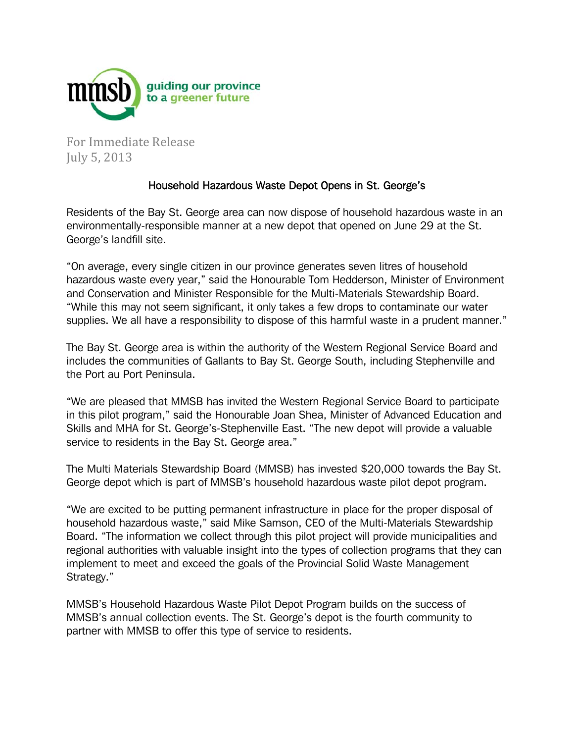

For Immediate Release July 5, 2013 

## Household Hazardous Waste Depot Opens in St. George's

Residents of the Bay St. George area can now dispose of household hazardous waste in an environmentally-responsible manner at a new depot that opened on June 29 at the St. George's landfill site.

"On average, every single citizen in our province generates seven litres of household hazardous waste every year," said the Honourable Tom Hedderson, Minister of Environment and Conservation and Minister Responsible for the Multi-Materials Stewardship Board. "While this may not seem significant, it only takes a few drops to contaminate our water supplies. We all have a responsibility to dispose of this harmful waste in a prudent manner."

The Bay St. George area is within the authority of the Western Regional Service Board and includes the communities of Gallants to Bay St. George South, including Stephenville and the Port au Port Peninsula.

"We are pleased that MMSB has invited the Western Regional Service Board to participate in this pilot program," said the Honourable Joan Shea, Minister of Advanced Education and Skills and MHA for St. George's-Stephenville East. "The new depot will provide a valuable service to residents in the Bay St. George area."

The Multi Materials Stewardship Board (MMSB) has invested \$20,000 towards the Bay St. George depot which is part of MMSB's household hazardous waste pilot depot program.

"We are excited to be putting permanent infrastructure in place for the proper disposal of household hazardous waste," said Mike Samson, CEO of the Multi-Materials Stewardship Board. "The information we collect through this pilot project will provide municipalities and regional authorities with valuable insight into the types of collection programs that they can implement to meet and exceed the goals of the Provincial Solid Waste Management Strategy."

MMSB's Household Hazardous Waste Pilot Depot Program builds on the success of MMSB's annual collection events. The St. George's depot is the fourth community to partner with MMSB to offer this type of service to residents.